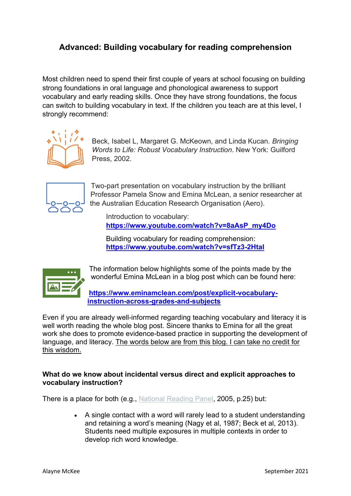# **Advanced: Building vocabulary for reading comprehension**

Most children need to spend their first couple of years at school focusing on building strong foundations in oral language and phonological awareness to support vocabulary and early reading skills. Once they have strong foundations, the focus can switch to building vocabulary in text. If the children you teach are at this level, I strongly recommend:



Beck, Isabel L, Margaret G. McKeown, and Linda Kucan*. Bringing Words to Life: Robust Vocabulary Instruction*. New York: Guilford Press, 2002.



Two-part presentation on vocabulary instruction by the brilliant Professor Pamela Snow and Emina McLean, a senior researcher at the Australian Education Research Organisation (Aero).

Introduction to vocabulary: **[https://www.youtube.com/watch?v=8aAsP\\_my4Do](https://www.youtube.com/watch?v=8aAsP_my4Do)**

Building vocabulary for reading comprehension: **<https://www.youtube.com/watch?v=sfTz3-2HtaI>**



The information below highlights some of the points made by the wonderful Emina McLean in a blog post which can be found here:

**[https://www.eminamclean.com/post/explicit-vocabulary](https://www.eminamclean.com/post/explicit-vocabulary-instruction-across-grades-and-subjects)[instruction-across-grades-and-subjects](https://www.eminamclean.com/post/explicit-vocabulary-instruction-across-grades-and-subjects)**

Even if you are already well-informed regarding teaching vocabulary and literacy it is well worth reading the whole blog post. Sincere thanks to Emina for all the great work she does to promote evidence-based practice in supporting the development of language, and literacy. The words below are from this blog. I can take no credit for this wisdom.

## **What do we know about incidental versus direct and explicit approaches to vocabulary instruction?**

There is a place for both (e.g., National [Reading](https://files.eric.ed.gov/fulltext/ED489535.pdf) Panel, 2005, p.25) but:

• A single contact with a word will rarely lead to a student understanding and retaining a word's meaning (Nagy et al, 1987; Beck et al, 2013). Students need multiple exposures in multiple contexts in order to develop rich word knowledge.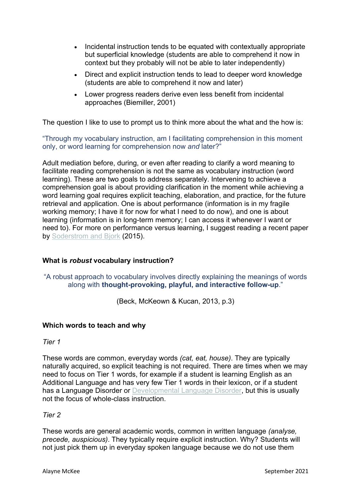- Incidental instruction tends to be equated with contextually appropriate but superficial knowledge (students are able to comprehend it now in context but they probably will not be able to later independently)
- Direct and explicit instruction tends to lead to deeper word knowledge (students are able to comprehend it now and later)
- Lower progress readers derive even less benefit from incidental approaches (Biemiller, 2001)

The question I like to use to prompt us to think more about the what and the how is:

"Through my vocabulary instruction, am I facilitating comprehension in this moment only, or word learning for comprehension now *and* later?"

Adult mediation before, during, or even after reading to clarify a word meaning to facilitate reading comprehension is not the same as vocabulary instruction (word learning). These are two goals to address separately. Intervening to achieve a comprehension goal is about providing clarification in the moment while achieving a word learning goal requires explicit teaching, elaboration, and practice, for the future retrieval and application. One is about performance (information is in my fragile working memory; I have it for now for what I need to do now), and one is about learning (information is in long-term memory; I can access it whenever I want or need to). For more on performance versus learning, I suggest reading a recent paper by [Soderstrom](https://journals.sagepub.com/doi/pdf/10.1177/1745691615569000?casa_token=CnQWucY-HL8AAAAA:71PciWC7RwnNnl-XShSuU1ifhD-kAS6FfzyPiKe_ExgIwo_m9csdybrRl2lYCPXTt8ElijR-p0yap_8) and Bjork (2015).

## **What is** *robust* **vocabulary instruction?**

"A robust approach to vocabulary involves directly explaining the meanings of words along with **thought-provoking, playful, and interactive follow-up**."

(Beck, McKeown & Kucan, 2013, p.3)

## **Which words to teach and why**

*Tier 1*

These words are common, everyday words *(cat, eat, house)*. They are typically naturally acquired, so explicit teaching is not required. There are times when we may need to focus on Tier 1 words, for example if a student is learning English as an Additional Language and has very few Tier 1 words in their lexicon, or if a student has a Language Disorder or [Developmental](https://salda.org.au/developmental-language-disorder-dld/#:~:text=Developmental%20Language%20Disorder%20is%20diagnosed,articulate%20their%20ideas%20and%20feelings) Language Disorder, but this is usually not the focus of whole-class instruction.

#### *Tier 2*

These words are general academic words, common in written language *(analyse, precede, auspicious)*. They typically require explicit instruction. Why? Students will not just pick them up in everyday spoken language because we do not use them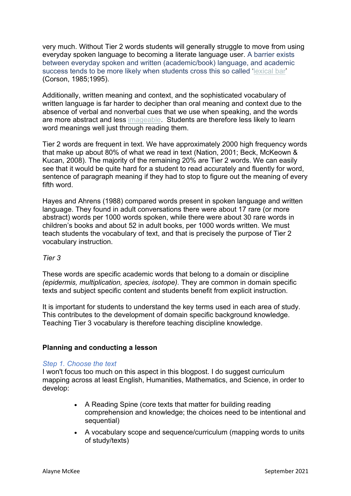very much. Without Tier 2 words students will generally struggle to move from using everyday spoken language to becoming a literate language user. A barrier exists between everyday spoken and written (academic/book) language, and academic success tends to be more likely when students cross this so called '[lexical](https://www.abebooks.com/9780080308586/Lexical-Bar-Corson-David-0080308589/plp) bar' (Corson, 1985;1995).

Additionally, written meaning and context, and the sophisticated vocabulary of written language is far harder to decipher than oral meaning and context due to the absence of verbal and nonverbal cues that we use when speaking, and the words are more abstract and less [imageable.](https://www.mitpressjournals.org/doi/abs/10.1162/jocn_a_00992?journalCode=jocn) Students are therefore less likely to learn word meanings well just through reading them.

Tier 2 words are frequent in text. We have approximately 2000 high frequency words that make up about 80% of what we read in text (Nation, 2001; Beck, McKeown & Kucan, 2008). The majority of the remaining 20% are Tier 2 words. We can easily see that it would be quite hard for a student to read accurately and fluently for word, sentence of paragraph meaning if they had to stop to figure out the meaning of every fifth word.

Hayes and Ahrens (1988) compared words present in spoken language and written language. They found in adult conversations there were about 17 rare (or more abstract) words per 1000 words spoken, while there were about 30 rare words in children's books and about 52 in adult books, per 1000 words written. We must teach students the vocabulary of text, and that is precisely the purpose of Tier 2 vocabulary instruction.

## *Tier 3*

These words are specific academic words that belong to a domain or discipline *(epidermis, multiplication, species, isotope).* They are common in domain specific texts and subject specific content and students benefit from explicit instruction.

It is important for students to understand the key terms used in each area of study. This contributes to the development of domain specific background knowledge. Teaching Tier 3 vocabulary is therefore teaching discipline knowledge.

## **Planning and conducting a lesson**

#### *Step 1. Choose the text*

I won't focus too much on this aspect in this blogpost. I do suggest curriculum mapping across at least English, Humanities, Mathematics, and Science, in order to develop:

- A Reading Spine (core texts that matter for building reading comprehension and knowledge; the choices need to be intentional and sequential)
- A vocabulary scope and sequence/curriculum (mapping words to units of study/texts)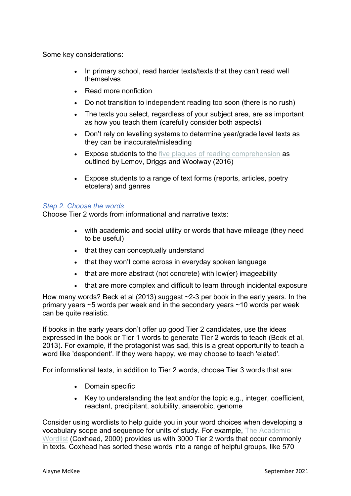Some key considerations:

- In primary school, read harder texts/texts that they can't read well themselves
- Read more nonfiction
- Do not transition to independent reading too soon (there is no rush)
- The texts you select, regardless of your subject area, are as important as how you teach them (carefully consider both aspects)
- Don't rely on levelling systems to determine year/grade level texts as they can be inaccurate/misleading
- Expose students to the five plagues of reading [comprehension](https://teachlikeachampion.com/wp-content/uploads/5-Plagues-Reading-Spine.pdf) as outlined by Lemov, Driggs and Woolway (2016)
- Expose students to a range of text forms (reports, articles, poetry etcetera) and genres

## *Step 2. Choose the words*

Choose Tier 2 words from informational and narrative texts:

- with academic and social utility or words that have mileage (they need to be useful)
- that they can conceptually understand
- that they won't come across in everyday spoken language
- that are more abstract (not concrete) with low(er) imageability
- that are more complex and difficult to learn through incidental exposure

How many words? Beck et al (2013) suggest ~2-3 per book in the early years. In the primary years ~5 words per week and in the secondary years ~10 words per week can be quite realistic.

If books in the early years don't offer up good Tier 2 candidates, use the ideas expressed in the book or Tier 1 words to generate Tier 2 words to teach (Beck et al, 2013). For example, if the protagonist was sad, this is a great opportunity to teach a word like 'despondent'. If they were happy, we may choose to teach 'elated'.

For informational texts, in addition to Tier 2 words, choose Tier 3 words that are:

- Domain specific
- Key to understanding the text and/or the topic e.g., integer, coefficient, reactant, precipitant, solubility, anaerobic, genome

Consider using wordlists to help guide you in your word choices when developing a vocabulary scope and sequence for units of study. For example, The [Academic](https://www.wgtn.ac.nz/lals/resources/academicwordlist) [Wordlist](https://www.wgtn.ac.nz/lals/resources/academicwordlist) (Coxhead, 2000) provides us with 3000 Tier 2 words that occur commonly in texts. Coxhead has sorted these words into a range of helpful groups, like 570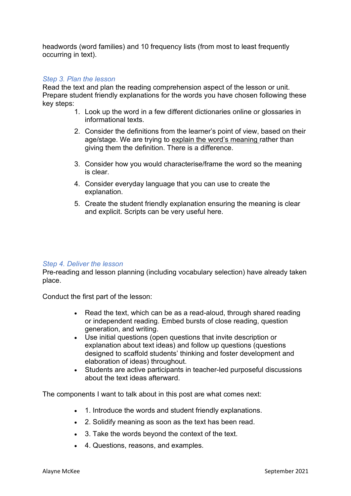headwords (word families) and 10 frequency lists (from most to least frequently occurring in text).

## *Step 3. Plan the lesson*

Read the text and plan the reading comprehension aspect of the lesson or unit. Prepare student friendly explanations for the words you have chosen following these key steps:

- 1. Look up the word in a few different dictionaries online or glossaries in informational texts.
- 2. Consider the definitions from the learner's point of view, based on their age/stage. We are trying to explain the word's meaning rather than giving them the definition. There is a difference.
- 3. Consider how you would characterise/frame the word so the meaning is clear.
- 4. Consider everyday language that you can use to create the explanation.
- 5. Create the student friendly explanation ensuring the meaning is clear and explicit. Scripts can be very useful here.

#### *Step 4. Deliver the lesson*

Pre-reading and lesson planning (including vocabulary selection) have already taken place.

Conduct the first part of the lesson:

- Read the text, which can be as a read-aloud, through shared reading or independent reading. Embed bursts of close reading, question generation, and writing.
- Use initial questions (open questions that invite description or explanation about text ideas) and follow up questions (questions designed to scaffold students' thinking and foster development and elaboration of ideas) throughout.
- Students are active participants in teacher-led purposeful discussions about the text ideas afterward.

The components I want to talk about in this post are what comes next:

- 1. Introduce the words and student friendly explanations.
- 2. Solidify meaning as soon as the text has been read.
- 3. Take the words beyond the context of the text.
- 4. Questions, reasons, and examples.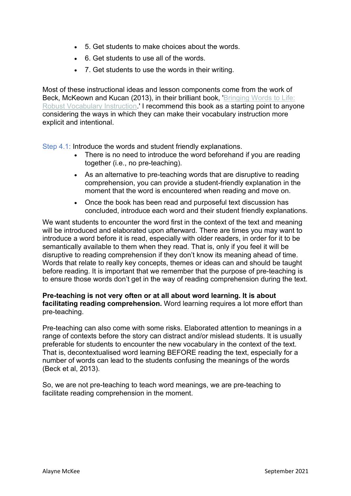- 5. Get students to make choices about the words.
- 6. Get students to use all of the words.
- 7. Get students to use the words in their writing.

Most of these instructional ideas and lesson components come from the work of Beck, McKeown and Kucan (2013), in their brilliant book, ['Bringing](https://www.booktopia.com.au/bringing-words-to-life-isabel-l-beck/book/9781462508167.html) Words to Life: Robust [Vocabulary](https://www.booktopia.com.au/bringing-words-to-life-isabel-l-beck/book/9781462508167.html) Instruction.' I recommend this book as a starting point to anyone considering the ways in which they can make their vocabulary instruction more explicit and intentional.

Step 4.1: Introduce the words and student friendly explanations.

- There is no need to introduce the word beforehand if you are reading together (i.e., no pre-teaching).
- As an alternative to pre-teaching words that are disruptive to reading comprehension, you can provide a student-friendly explanation in the moment that the word is encountered when reading and move on.
- Once the book has been read and purposeful text discussion has concluded, introduce each word and their student friendly explanations.

We want students to encounter the word first in the context of the text and meaning will be introduced and elaborated upon afterward. There are times you may want to introduce a word before it is read, especially with older readers, in order for it to be semantically available to them when they read. That is, only if you feel it will be disruptive to reading comprehension if they don't know its meaning ahead of time. Words that relate to really key concepts, themes or ideas can and should be taught before reading. It is important that we remember that the purpose of pre-teaching is to ensure those words don't get in the way of reading comprehension during the text.

## **Pre-teaching is not very often or at all about word learning. It is about facilitating reading comprehension.** Word learning requires a lot more effort than pre-teaching.

Pre-teaching can also come with some risks. Elaborated attention to meanings in a range of contexts before the story can distract and/or mislead students. It is usually preferable for students to encounter the new vocabulary in the context of the text. That is, decontextualised word learning BEFORE reading the text, especially for a number of words can lead to the students confusing the meanings of the words (Beck et al, 2013).

So, we are not pre-teaching to teach word meanings, we are pre-teaching to facilitate reading comprehension in the moment.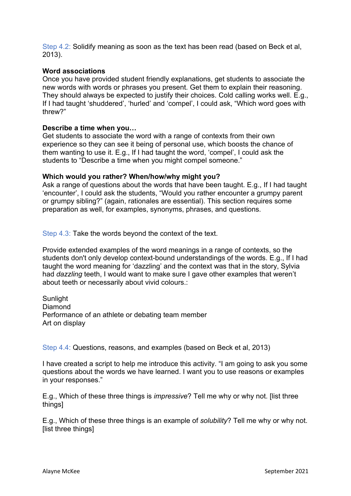Step 4.2: Solidify meaning as soon as the text has been read (based on Beck et al, 2013).

## **Word associations**

Once you have provided student friendly explanations, get students to associate the new words with words or phrases you present. Get them to explain their reasoning. They should always be expected to justify their choices. Cold calling works well. E.g., If I had taught 'shuddered', 'hurled' and 'compel', I could ask, "Which word goes with threw?"

### **Describe a time when you…**

Get students to associate the word with a range of contexts from their own experience so they can see it being of personal use, which boosts the chance of them wanting to use it. E.g., If I had taught the word, 'compel', I could ask the students to "Describe a time when you might compel someone."

### **Which would you rather? When/how/why might you?**

Ask a range of questions about the words that have been taught. E.g., If I had taught 'encounter', I could ask the students, "Would you rather encounter a grumpy parent or grumpy sibling?" (again, rationales are essential). This section requires some preparation as well, for examples, synonyms, phrases, and questions.

Step 4.3: Take the words beyond the context of the text.

Provide extended examples of the word meanings in a range of contexts, so the students don't only develop context-bound understandings of the words. E.g., If I had taught the word meaning for 'dazzling' and the context was that in the story, Sylvia had *dazzling* teeth, I would want to make sure I gave other examples that weren't about teeth or necessarily about vivid colours.:

Sunlight Diamond Performance of an athlete or debating team member Art on display

Step 4.4: Questions, reasons, and examples (based on Beck et al, 2013)

I have created a script to help me introduce this activity. "I am going to ask you some questions about the words we have learned. I want you to use reasons or examples in your responses."

E.g., Which of these three things is *impressive*? Tell me why or why not. [list three things]

E.g., Which of these three things is an example of *solubility*? Tell me why or why not. [list three things]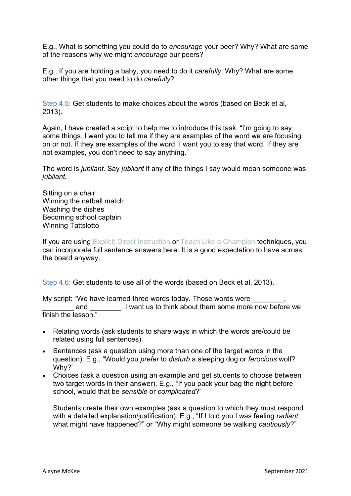E.g., What is something you could do to *encourage* your peer? Why? What are some of the reasons why we might *encourage* our peers?

E.g., If you are holding a baby, you need to do it *carefully*. Why? What are some other things that you need to do *carefully*?

Step 4.5: Get students to make choices about the words (based on Beck et al, 2013).

Again, I have created a script to help me to introduce this task. "I'm going to say some things. I want you to tell me if they are examples of the word we are focusing on or not. If they are examples of the word, I want you to say that word. If they are not examples, you don't need to say anything."

The word is *jubilant.* Say *jubilant* if any of the things I say would mean someone was *jubilant.*

Sitting on a chair Winning the netball match Washing the dishes Becoming school captain Winning Tattslotto

If you are using Explicit Direct [Instruction](https://www.booktopia.com.au/explicit-direct-instruction-edi--john-r-hollingsworth/book/9781506337517.html?source=pla&gclid=Cj0KCQiAst2BBhDJARIsAGo2ldX3XQNL_09-okIqXBnu-65tSPrGzw72adEp2X2vOs-lsD8vVEV2DmMaAgLNEALw_wcB) or Teach Like a [Champion](https://www.booktopia.com.au/teach-like-a-champion-2-0-doug-lemov/book/9781118901854.html?source=pla&gclid=Cj0KCQiAst2BBhDJARIsAGo2ldX-b3NbfMZwf3BQvyQn2bZPxsh5K2AbbqdcKkVuXaN5JIXhDa58JjYaAgu1EALw_wcB) techniques, you can incorporate full sentence answers here. It is a good expectation to have across the board anyway.

Step 4.6: Get students to use all of the words (based on Beck et al, 2013).

My script: "We have learned three words today. Those words were and **and**  $\blacksquare$  . I want us to think about them some more now before we finish the lesson."

- Relating words (ask students to share ways in which the words are/could be related using full sentences)
- Sentences (ask a question using more than one of the target words in the question). E.g., "Would you *prefer* to *disturb* a sleeping dog or *ferocious* wolf? Why?"
- Choices (ask a question using an example and get students to choose between two target words in their answer). E.g., "If you pack your bag the night before school, would that be *sensible* or *complicated*?"

Students create their own examples (ask a question to which they must respond with a detailed explanation/justification). E.g., "If I told you I was feeling *radiant*, what might have happened?" or "Why might someone be walking *cautiously*?"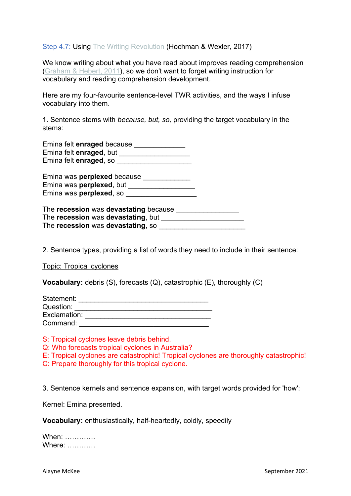Step 4.7: Using The Writing [Revolution](https://www.booktopia.com.au/the-writing-revolution-judith-c-hochman/book/9781119364917.html) (Hochman & Wexler, 2017)

We know writing about what you have read about improves reading comprehension [\(Graham](https://www.researchgate.net/profile/Steve-Graham-4/publication/279741659_Writing_to_Read_A_Meta-Analysis_of_the_Impact_of_Writing_and_Writing_Instruction_on_Reading/links/5bf58fd3a6fdcc3a8de8aab8/Writing-to-Read-A-Meta-Analysis-of-the-Impact-of-Writing-and-Writing-Instruction-on-Reading.pdf) & Hebert, 2011), so we don't want to forget writing instruction for vocabulary and reading comprehension development.

Here are my four-favourite sentence-level TWR activities, and the ways I infuse vocabulary into them.

1. Sentence stems with *because, but, so,* providing the target vocabulary in the stems:

Emina felt **enraged** because \_\_\_\_\_\_\_\_\_\_\_\_\_ Emina felt **enraged**, but \_\_\_\_\_\_\_\_\_\_\_\_\_\_\_\_\_\_ Emina felt **enraged**, so \_\_\_\_\_\_\_\_\_\_\_\_\_\_\_\_\_\_\_

| Emina was <b>perplexed</b> because |  |
|------------------------------------|--|
| Emina was <b>perplexed</b> , but   |  |
| Emina was <b>perplexed</b> , so    |  |

| The recession was devastating because |  |
|---------------------------------------|--|
| The recession was devastating, but    |  |
| The recession was devastating, so     |  |

2. Sentence types, providing a list of words they need to include in their sentence:

Topic: Tropical cyclones

**Vocabulary:** debris (S), forecasts (Q), catastrophic (E), thoroughly (C)

| Statement:   |  |
|--------------|--|
| Question:    |  |
| Exclamation: |  |
| Command:     |  |

S: Tropical cyclones leave debris behind.

Q: Who forecasts tropical cyclones in Australia?

E: Tropical cyclones are catastrophic! Tropical cyclones are thoroughly catastrophic!

C: Prepare thoroughly for this tropical cyclone.

3. Sentence kernels and sentence expansion, with target words provided for 'how':

Kernel: Emina presented.

**Vocabulary:** enthusiastically, half-heartedly, coldly, speedily

When: …………. Where: **where**